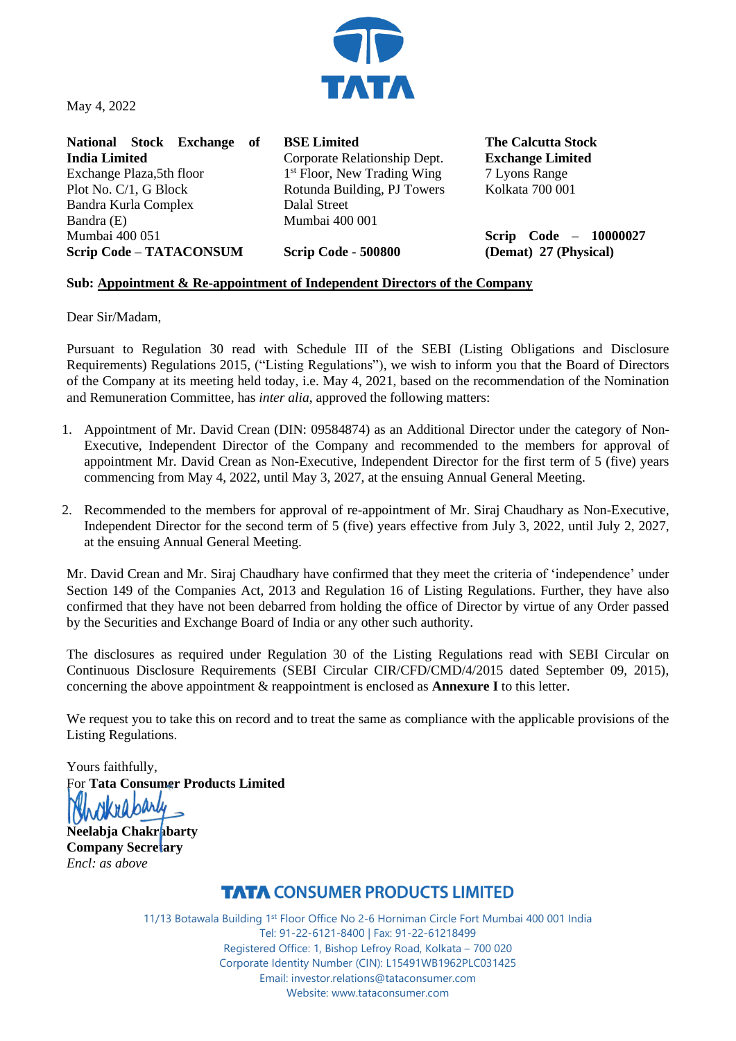

May 4, 2022

**National Stock Exchange of India Limited**  Exchange Plaza,5th floor Plot No. C/1, G Block Bandra Kurla Complex Bandra (E) Mumbai 400 051 **Scrip Code – TATACONSUM** Dalal Street

**BSE Limited**  Corporate Relationship Dept. 1<sup>st</sup> Floor, New Trading Wing Rotunda Building, PJ Towers Mumbai 400 001

**Scrip Code - 500800**

**The Calcutta Stock Exchange Limited** 7 Lyons Range Kolkata 700 001

**Scrip Code – 10000027 (Demat) 27 (Physical)**

## **Sub: Appointment & Re-appointment of Independent Directors of the Company**

Dear Sir/Madam,

Pursuant to Regulation 30 read with Schedule III of the SEBI (Listing Obligations and Disclosure Requirements) Regulations 2015, ("Listing Regulations"), we wish to inform you that the Board of Directors of the Company at its meeting held today, i.e. May 4, 2021, based on the recommendation of the Nomination and Remuneration Committee, has *inter alia*, approved the following matters:

- 1. Appointment of Mr. David Crean (DIN: 09584874) as an Additional Director under the category of Non-Executive, Independent Director of the Company and recommended to the members for approval of appointment Mr. David Crean as Non-Executive, Independent Director for the first term of 5 (five) years commencing from May 4, 2022, until May 3, 2027, at the ensuing Annual General Meeting.
- 2. Recommended to the members for approval of re-appointment of Mr. Siraj Chaudhary as Non-Executive, Independent Director for the second term of 5 (five) years effective from July 3, 2022, until July 2, 2027, at the ensuing Annual General Meeting.

Mr. David Crean and Mr. Siraj Chaudhary have confirmed that they meet the criteria of 'independence' under Section 149 of the Companies Act, 2013 and Regulation 16 of Listing Regulations. Further, they have also confirmed that they have not been debarred from holding the office of Director by virtue of any Order passed by the Securities and Exchange Board of India or any other such authority.

The disclosures as required under Regulation 30 of the Listing Regulations read with SEBI Circular on Continuous Disclosure Requirements (SEBI Circular CIR/CFD/CMD/4/2015 dated September 09, 2015), concerning the above appointment & reappointment is enclosed as **Annexure I** to this letter.

We request you to take this on record and to treat the same as compliance with the applicable provisions of the Listing Regulations.

Yours faithfully, For **Tata Consumer Products Limited**

**Neelabja Chakrabarty Company Secretary**  *Encl: as above*

## **TATA CONSUMER PRODUCTS LIMITED**

11/13 Botawala Building 1st Floor Office No 2-6 Horniman Circle Fort Mumbai 400 001 India Tel: 91-22-6121-8400 | Fax: 91-22-61218499 Registered Office: 1, Bishop Lefroy Road, Kolkata – 700 020 Corporate Identity Number (CIN): L15491WB1962PLC031425 Email: investor.relations@tataconsumer.com Website: www.tataconsumer.com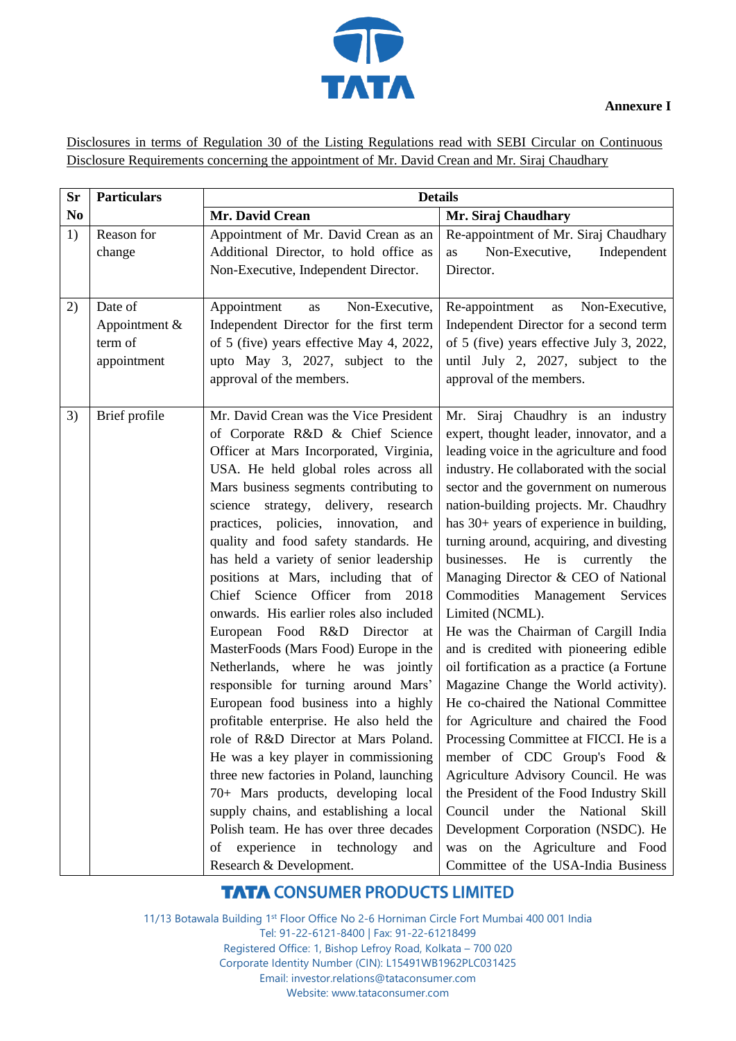

Disclosures in terms of Regulation 30 of the Listing Regulations read with SEBI Circular on Continuous Disclosure Requirements concerning the appointment of Mr. David Crean and Mr. Siraj Chaudhary

| <b>Sr</b>      | <b>Particulars</b>                                 | <b>Details</b>                                                                                                                                                                                                                                                                                                                                                                                                                                                                                                                                                                                                                                                                                                                                                                                                                                                                                                                                                                                                                                                                |                                                                                                                                                                                                                                                                                                                                                                                                                                                                                                                                                                                                                                                                                                                                                                                                                                                                                                                                                                                                                                                                             |
|----------------|----------------------------------------------------|-------------------------------------------------------------------------------------------------------------------------------------------------------------------------------------------------------------------------------------------------------------------------------------------------------------------------------------------------------------------------------------------------------------------------------------------------------------------------------------------------------------------------------------------------------------------------------------------------------------------------------------------------------------------------------------------------------------------------------------------------------------------------------------------------------------------------------------------------------------------------------------------------------------------------------------------------------------------------------------------------------------------------------------------------------------------------------|-----------------------------------------------------------------------------------------------------------------------------------------------------------------------------------------------------------------------------------------------------------------------------------------------------------------------------------------------------------------------------------------------------------------------------------------------------------------------------------------------------------------------------------------------------------------------------------------------------------------------------------------------------------------------------------------------------------------------------------------------------------------------------------------------------------------------------------------------------------------------------------------------------------------------------------------------------------------------------------------------------------------------------------------------------------------------------|
| N <sub>0</sub> |                                                    | Mr. David Crean                                                                                                                                                                                                                                                                                                                                                                                                                                                                                                                                                                                                                                                                                                                                                                                                                                                                                                                                                                                                                                                               | Mr. Siraj Chaudhary                                                                                                                                                                                                                                                                                                                                                                                                                                                                                                                                                                                                                                                                                                                                                                                                                                                                                                                                                                                                                                                         |
| 1)             | Reason for<br>change                               | Appointment of Mr. David Crean as an<br>Additional Director, to hold office as<br>Non-Executive, Independent Director.                                                                                                                                                                                                                                                                                                                                                                                                                                                                                                                                                                                                                                                                                                                                                                                                                                                                                                                                                        | Re-appointment of Mr. Siraj Chaudhary<br>Non-Executive,<br>Independent<br>as<br>Director.                                                                                                                                                                                                                                                                                                                                                                                                                                                                                                                                                                                                                                                                                                                                                                                                                                                                                                                                                                                   |
| 2)             | Date of<br>Appointment &<br>term of<br>appointment | Appointment<br>Non-Executive,<br>as<br>Independent Director for the first term<br>of 5 (five) years effective May 4, 2022,<br>upto May 3, 2027, subject to the<br>approval of the members.                                                                                                                                                                                                                                                                                                                                                                                                                                                                                                                                                                                                                                                                                                                                                                                                                                                                                    | Re-appointment<br>Non-Executive,<br>as<br>Independent Director for a second term<br>of 5 (five) years effective July 3, 2022,<br>until July 2, 2027, subject to the<br>approval of the members.                                                                                                                                                                                                                                                                                                                                                                                                                                                                                                                                                                                                                                                                                                                                                                                                                                                                             |
| 3)             | Brief profile                                      | Mr. David Crean was the Vice President<br>of Corporate R&D & Chief Science<br>Officer at Mars Incorporated, Virginia,<br>USA. He held global roles across all<br>Mars business segments contributing to<br>science strategy, delivery, research<br>practices, policies, innovation,<br>and<br>quality and food safety standards. He<br>has held a variety of senior leadership<br>positions at Mars, including that of<br>Chief Science Officer from 2018<br>onwards. His earlier roles also included<br>European Food R&D Director<br>- at<br>MasterFoods (Mars Food) Europe in the<br>Netherlands, where he was jointly<br>responsible for turning around Mars'<br>European food business into a highly<br>profitable enterprise. He also held the<br>role of R&D Director at Mars Poland.<br>He was a key player in commissioning<br>three new factories in Poland, launching<br>70+ Mars products, developing local<br>supply chains, and establishing a local<br>Polish team. He has over three decades<br>of experience in technology<br>and<br>Research & Development. | Mr. Siraj Chaudhry is an industry<br>expert, thought leader, innovator, and a<br>leading voice in the agriculture and food<br>industry. He collaborated with the social<br>sector and the government on numerous<br>nation-building projects. Mr. Chaudhry<br>has 30+ years of experience in building,<br>turning around, acquiring, and divesting<br>businesses.<br>He<br>is<br>currently<br>the<br>Managing Director & CEO of National<br>Commodities Management Services<br>Limited (NCML).<br>He was the Chairman of Cargill India<br>and is credited with pioneering edible<br>oil fortification as a practice (a Fortune<br>Magazine Change the World activity).<br>He co-chaired the National Committee<br>for Agriculture and chaired the Food<br>Processing Committee at FICCI. He is a<br>member of CDC Group's Food &<br>Agriculture Advisory Council. He was<br>the President of the Food Industry Skill<br>Council under the National<br>Skill<br>Development Corporation (NSDC). He<br>was on the Agriculture and Food<br>Committee of the USA-India Business |

## **TATA CONSUMER PRODUCTS LIMITED**

11/13 Botawala Building 1st Floor Office No 2-6 Horniman Circle Fort Mumbai 400 001 India Tel: 91-22-6121-8400 | Fax: 91-22-61218499 Registered Office: 1, Bishop Lefroy Road, Kolkata – 700 020 Corporate Identity Number (CIN): L15491WB1962PLC031425 Email: investor.relations@tataconsumer.com Website: www.tataconsumer.com